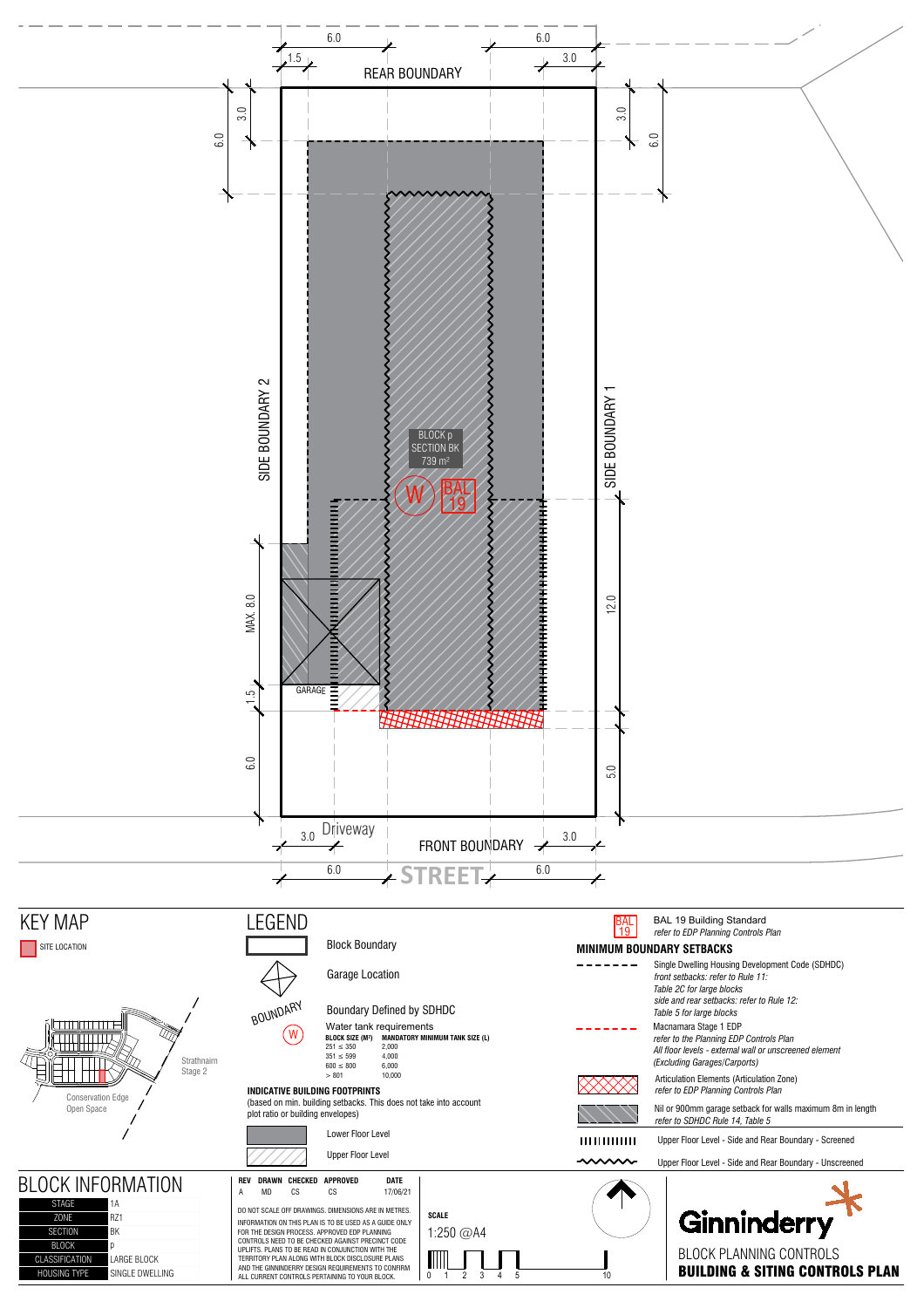